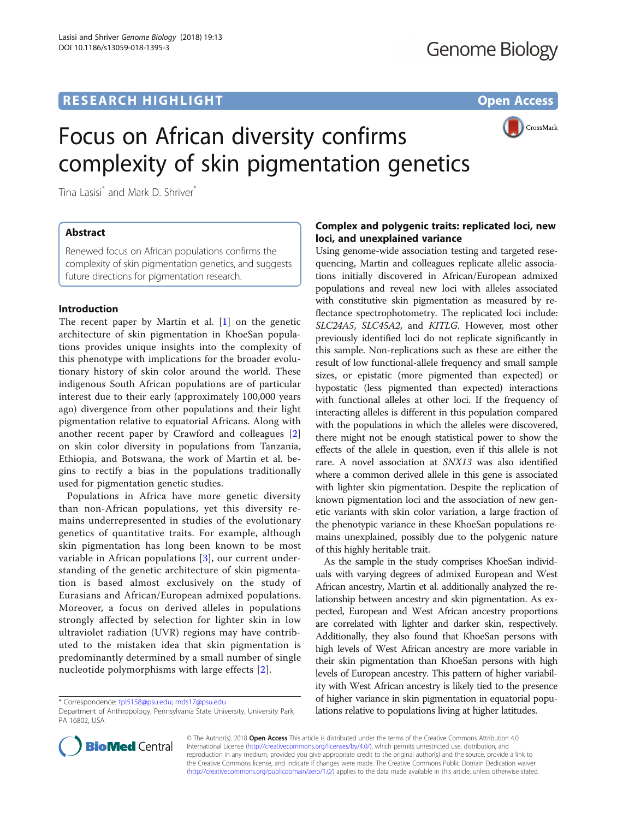# **RESEARCH HIGHLIGHT** THE OPEN ACCESS OPEN ACCESS



# Focus on African diversity confirms complexity of skin pigmentation genetics

Tina Lasisi<sup>\*</sup> and Mark D. Shriver<sup>\*</sup>

# Abstract

Renewed focus on African populations confirms the complexity of skin pigmentation genetics, and suggests future directions for pigmentation research.

#### Introduction

The recent paper by Martin et al. [[1\]](#page-2-0) on the genetic architecture of skin pigmentation in KhoeSan populations provides unique insights into the complexity of this phenotype with implications for the broader evolutionary history of skin color around the world. These indigenous South African populations are of particular interest due to their early (approximately 100,000 years ago) divergence from other populations and their light pigmentation relative to equatorial Africans. Along with another recent paper by Crawford and colleagues [\[2](#page-2-0)] on skin color diversity in populations from Tanzania, Ethiopia, and Botswana, the work of Martin et al. begins to rectify a bias in the populations traditionally used for pigmentation genetic studies.

Populations in Africa have more genetic diversity than non-African populations, yet this diversity remains underrepresented in studies of the evolutionary genetics of quantitative traits. For example, although skin pigmentation has long been known to be most variable in African populations [[3\]](#page-2-0), our current understanding of the genetic architecture of skin pigmentation is based almost exclusively on the study of Eurasians and African/European admixed populations. Moreover, a focus on derived alleles in populations strongly affected by selection for lighter skin in low ultraviolet radiation (UVR) regions may have contributed to the mistaken idea that skin pigmentation is predominantly determined by a small number of single nucleotide polymorphisms with large effects [\[2\]](#page-2-0).

## Complex and polygenic traits: replicated loci, new loci, and unexplained variance

Using genome-wide association testing and targeted resequencing, Martin and colleagues replicate allelic associations initially discovered in African/European admixed populations and reveal new loci with alleles associated with constitutive skin pigmentation as measured by reflectance spectrophotometry. The replicated loci include: SLC24A5, SLC45A2, and KITLG. However, most other previously identified loci do not replicate significantly in this sample. Non-replications such as these are either the result of low functional-allele frequency and small sample sizes, or epistatic (more pigmented than expected) or hypostatic (less pigmented than expected) interactions with functional alleles at other loci. If the frequency of interacting alleles is different in this population compared with the populations in which the alleles were discovered, there might not be enough statistical power to show the effects of the allele in question, even if this allele is not rare. A novel association at SNX13 was also identified where a common derived allele in this gene is associated with lighter skin pigmentation. Despite the replication of known pigmentation loci and the association of new genetic variants with skin color variation, a large fraction of the phenotypic variance in these KhoeSan populations remains unexplained, possibly due to the polygenic nature of this highly heritable trait.

As the sample in the study comprises KhoeSan individuals with varying degrees of admixed European and West African ancestry, Martin et al. additionally analyzed the relationship between ancestry and skin pigmentation. As expected, European and West African ancestry proportions are correlated with lighter and darker skin, respectively. Additionally, they also found that KhoeSan persons with high levels of West African ancestry are more variable in their skin pigmentation than KhoeSan persons with high levels of European ancestry. This pattern of higher variability with West African ancestry is likely tied to the presence of higher variance in skin pigmentation in equatorial populations relative to populations living at higher latitudes.



© The Author(s). 2018 **Open Access** This article is distributed under the terms of the Creative Commons Attribution 4.0 International License [\(http://creativecommons.org/licenses/by/4.0/](http://creativecommons.org/licenses/by/4.0/)), which permits unrestricted use, distribution, and reproduction in any medium, provided you give appropriate credit to the original author(s) and the source, provide a link to the Creative Commons license, and indicate if changes were made. The Creative Commons Public Domain Dedication waiver [\(http://creativecommons.org/publicdomain/zero/1.0/](http://creativecommons.org/publicdomain/zero/1.0/)) applies to the data made available in this article, unless otherwise stated.

<sup>\*</sup> Correspondence: [tpl5158@psu.edu;](mailto:tpl5158@psu.edu) [mds17@psu.edu](mailto:mds17@psu.edu)

Department of Anthropology, Pennsylvania State University, University Park, PA 16802, USA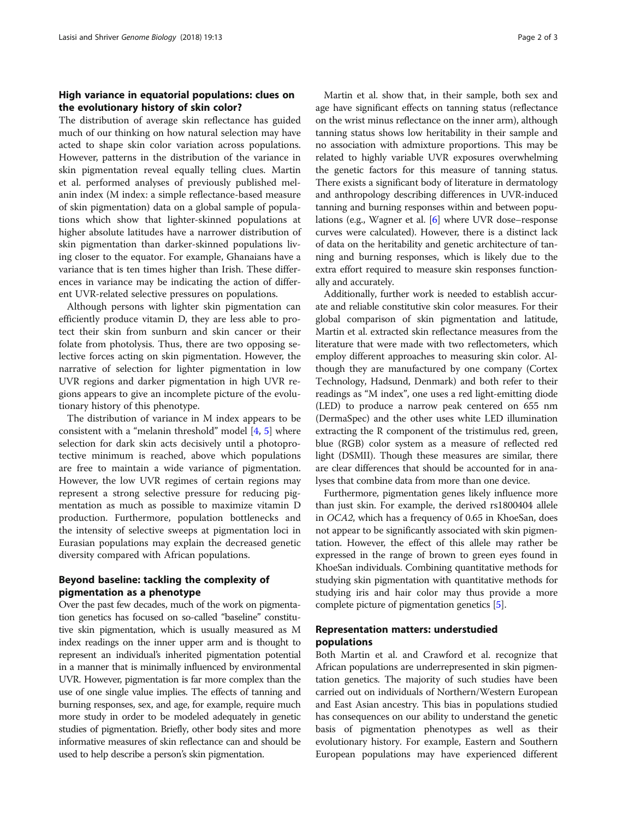#### High variance in equatorial populations: clues on the evolutionary history of skin color?

The distribution of average skin reflectance has guided much of our thinking on how natural selection may have acted to shape skin color variation across populations. However, patterns in the distribution of the variance in skin pigmentation reveal equally telling clues. Martin et al. performed analyses of previously published melanin index (M index: a simple reflectance-based measure of skin pigmentation) data on a global sample of populations which show that lighter-skinned populations at higher absolute latitudes have a narrower distribution of skin pigmentation than darker-skinned populations living closer to the equator. For example, Ghanaians have a variance that is ten times higher than Irish. These differences in variance may be indicating the action of different UVR-related selective pressures on populations.

Although persons with lighter skin pigmentation can efficiently produce vitamin D, they are less able to protect their skin from sunburn and skin cancer or their folate from photolysis. Thus, there are two opposing selective forces acting on skin pigmentation. However, the narrative of selection for lighter pigmentation in low UVR regions and darker pigmentation in high UVR regions appears to give an incomplete picture of the evolutionary history of this phenotype.

The distribution of variance in M index appears to be consistent with a "melanin threshold" model [[4,](#page-2-0) [5\]](#page-2-0) where selection for dark skin acts decisively until a photoprotective minimum is reached, above which populations are free to maintain a wide variance of pigmentation. However, the low UVR regimes of certain regions may represent a strong selective pressure for reducing pigmentation as much as possible to maximize vitamin D production. Furthermore, population bottlenecks and the intensity of selective sweeps at pigmentation loci in Eurasian populations may explain the decreased genetic diversity compared with African populations.

#### Beyond baseline: tackling the complexity of pigmentation as a phenotype

Over the past few decades, much of the work on pigmentation genetics has focused on so-called "baseline" constitutive skin pigmentation, which is usually measured as M index readings on the inner upper arm and is thought to represent an individual's inherited pigmentation potential in a manner that is minimally influenced by environmental UVR. However, pigmentation is far more complex than the use of one single value implies. The effects of tanning and burning responses, sex, and age, for example, require much more study in order to be modeled adequately in genetic studies of pigmentation. Briefly, other body sites and more informative measures of skin reflectance can and should be used to help describe a person's skin pigmentation.

Martin et al. show that, in their sample, both sex and age have significant effects on tanning status (reflectance on the wrist minus reflectance on the inner arm), although tanning status shows low heritability in their sample and no association with admixture proportions. This may be related to highly variable UVR exposures overwhelming the genetic factors for this measure of tanning status. There exists a significant body of literature in dermatology and anthropology describing differences in UVR-induced tanning and burning responses within and between populations (e.g., Wagner et al. [\[6](#page-2-0)] where UVR dose–response curves were calculated). However, there is a distinct lack of data on the heritability and genetic architecture of tanning and burning responses, which is likely due to the extra effort required to measure skin responses functionally and accurately.

Additionally, further work is needed to establish accurate and reliable constitutive skin color measures. For their global comparison of skin pigmentation and latitude, Martin et al. extracted skin reflectance measures from the literature that were made with two reflectometers, which employ different approaches to measuring skin color. Although they are manufactured by one company (Cortex Technology, Hadsund, Denmark) and both refer to their readings as "M index", one uses a red light-emitting diode (LED) to produce a narrow peak centered on 655 nm (DermaSpec) and the other uses white LED illumination extracting the R component of the tristimulus red, green, blue (RGB) color system as a measure of reflected red light (DSMII). Though these measures are similar, there are clear differences that should be accounted for in analyses that combine data from more than one device.

Furthermore, pigmentation genes likely influence more than just skin. For example, the derived rs1800404 allele in OCA2, which has a frequency of 0.65 in KhoeSan, does not appear to be significantly associated with skin pigmentation. However, the effect of this allele may rather be expressed in the range of brown to green eyes found in KhoeSan individuals. Combining quantitative methods for studying skin pigmentation with quantitative methods for studying iris and hair color may thus provide a more complete picture of pigmentation genetics [\[5\]](#page-2-0).

### Representation matters: understudied populations

Both Martin et al. and Crawford et al. recognize that African populations are underrepresented in skin pigmentation genetics. The majority of such studies have been carried out on individuals of Northern/Western European and East Asian ancestry. This bias in populations studied has consequences on our ability to understand the genetic basis of pigmentation phenotypes as well as their evolutionary history. For example, Eastern and Southern European populations may have experienced different